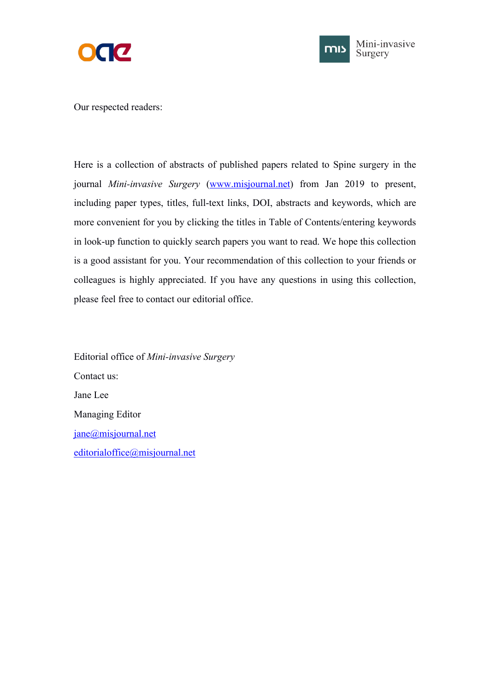



Our respected readers:

Here is a collection of abstracts of published papers related to Spine surgery in the journal *Mini-invasive Surgery* [\(www.misjournal.net](http://www.misjournal.net)) from Jan 2019 to present, including paper types, titles, full-text links, DOI, abstracts and keywords, which are more convenient for you by clicking the titles in Table of Contents/entering keywords in look-up function to quickly search papers you want to read. We hope this collection is a good assistant for you. Your recommendation of this collection to your friends or colleagues is highly appreciated. If you have any questions in using this collection, please feel free to contact our editorial office.

Editorial office of *Mini-invasive Surgery* Contact us: Jane Lee Managing Editor [jane@misjournal.net](mailto:jane@misjournal.net) [editorialoffice@misjournal.net](mailto:editorialoffice@misjournal.net)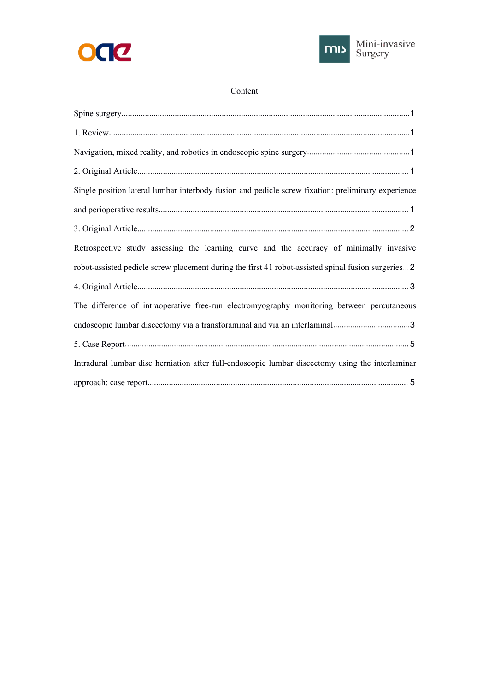



#### Content

| Single position lateral lumbar interbody fusion and pedicle screw fixation: preliminary experience  |
|-----------------------------------------------------------------------------------------------------|
|                                                                                                     |
|                                                                                                     |
| Retrospective study assessing the learning curve and the accuracy of minimally invasive             |
| robot-assisted pedicle screw placement during the first 41 robot-assisted spinal fusion surgeries 2 |
|                                                                                                     |
| The difference of intraoperative free-run electromyography monitoring between percutaneous          |
| endoscopic lumbar discectomy via a transforaminal and via an interlaminal3                          |
|                                                                                                     |
| Intradural lumbar disc herniation after full-endoscopic lumbar discectomy using the interlaminar    |
|                                                                                                     |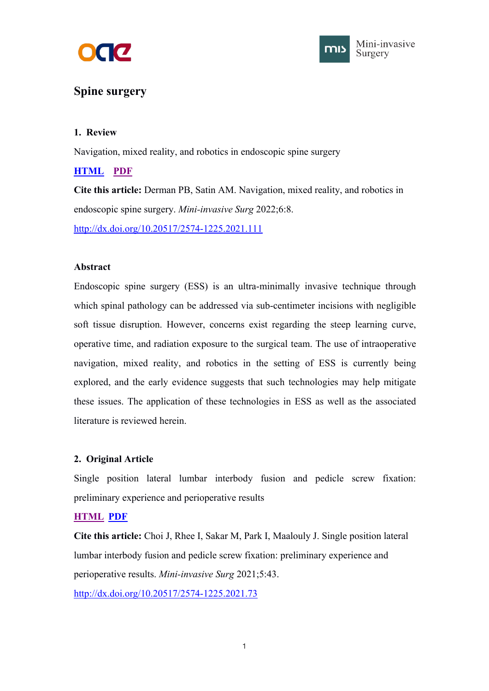



# <span id="page-2-1"></span><span id="page-2-0"></span>**Spine surgery**

# **1. Review**

Navigation, mixed reality, and robotics in endoscopic spine surgery

# **[HTML](https://misjournal.net/article/view/4606) [PDF](https://oaepublishstorage.blob.core.windows.net/dd3610cb-e8bd-4b70-a609-783e660b6a14/4606.pdf)**

**Cite this article:** Derman PB, Satin AM. Navigation, mixed reality, and robotics in endoscopic spine surgery. *Mini-invasive Surg* 2022;6:8. <http://dx.doi.org/10.20517/2574-1225.2021.111>

## **Abstract**

Endoscopic spine surgery (ESS) is an ultra-minimally invasive technique through which spinal pathology can be addressed via sub-centimeter incisions with negligible soft tissue disruption. However, concerns exist regarding the steep learning curve, operative time, and radiation exposure to the surgical team. The use of intraoperative navigation, mixed reality, and robotics in the setting of ESS is currently being explored, and the early evidence suggests that such technologies may help mitigate these issues. The application of these technologies in ESS as well as the associated literature is reviewed herein.

# **2. Original Article**

Single position lateral lumbar interbody fusion and pedicle screw fixation: preliminary experience and perioperative results

# **[HTML](https://misjournal.net/article/view/4222) [PDF](https://oaepublishstorage.blob.core.windows.net/5ec168b9-5edf-4491-9328-ba6d8df145bd/4222.pdf)**

**Cite this article:** Choi J, Rhee I, Sakar M, Park I, Maalouly J. Single position lateral lumbar interbody fusion and pedicle screw fixation: preliminary experience and perioperative results. *Mini-invasive Surg* 2021;5:43. <http://dx.doi.org/10.20517/2574-1225.2021.73>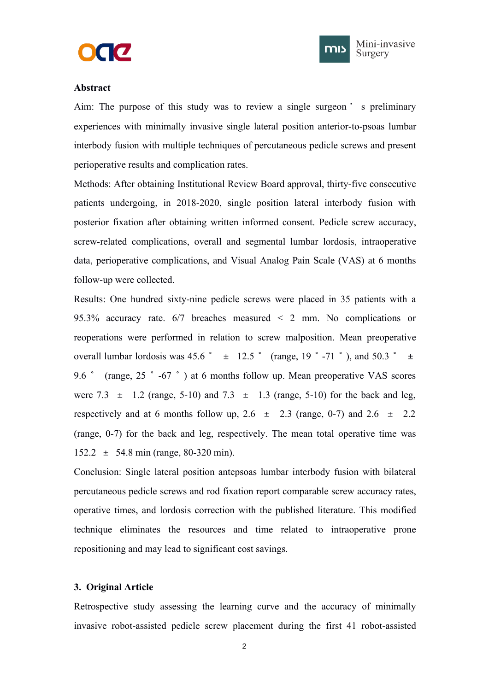



#### <span id="page-3-1"></span><span id="page-3-0"></span>**Abstract**

Aim: The purpose of this study was to review a single surgeon ' s preliminary experiences with minimally invasive single lateral position anterior-to-psoas lumbar interbody fusion with multiple techniques of percutaneous pedicle screws and present perioperative results and complication rates.

Methods: After obtaining Institutional Review Board approval, thirty-five consecutive patients undergoing, in 2018-2020, single position lateral interbody fusion with posterior fixation after obtaining written informed consent. Pedicle screw accuracy, screw-related complications, overall and segmental lumbar lordosis, intraoperative data, perioperative complications, and Visual Analog Pain Scale (VAS) at 6 months follow-up were collected.

Results: One hundred sixty-nine pedicle screws were placed in 35 patients with a 95.3% accuracy rate.  $6/7$  breaches measured  $\leq$  2 mm. No complications or reoperations were performed in relation to screw malposition. Mean preoperative overall lumbar lordosis was 45.6 °  $\pm$  12.5 ° (range, 19 ° -71 °), and 50.3 °  $\pm$ 9.6° (range, 25°-67°) at 6 months follow up. Mean preoperative VAS scores were 7.3  $\pm$  1.2 (range, 5-10) and 7.3  $\pm$  1.3 (range, 5-10) for the back and leg, respectively and at 6 months follow up,  $2.6 \pm 2.3$  (range, 0-7) and  $2.6 \pm 2.2$ (range, 0-7) for the back and leg, respectively. The mean total operative time was 152.2 ± 54.8 min (range, 80-320 min).

Conclusion: Single lateral position antepsoas lumbar interbody fusion with bilateral percutaneous pedicle screws and rod fixation report comparable screw accuracy rates, operative times, and lordosis correction with the published literature. This modified technique eliminates the resources and time related to intraoperative prone repositioning and may lead to significant cost savings.

## **3. Original Article**

Retrospective study assessing the learning curve and the accuracy of minimally invasive robot-assisted pedicle screw placement during the first 41 robot-assisted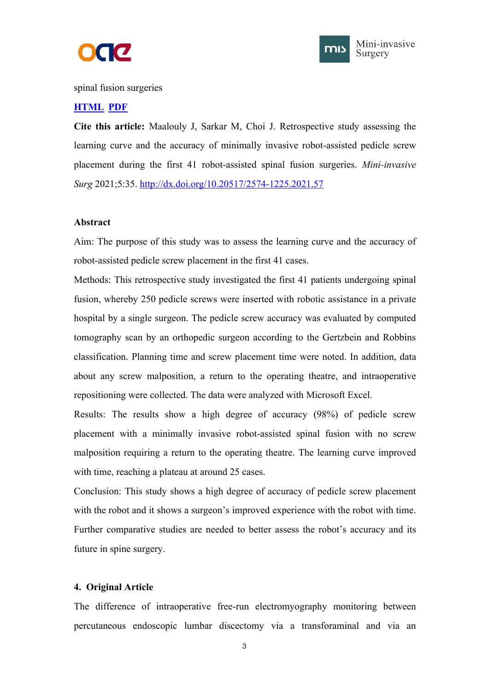



<span id="page-4-1"></span><span id="page-4-0"></span>spinal fusion surgeries

### **[HTML](https://misjournal.net/article/view/4140) [PDF](https://oaepublishstorage.blob.core.windows.net/714bda58-2a4f-408c-b4de-13d429ada601/4140.pdf)**

**Cite this article:** Maalouly J, Sarkar M,Choi J. Retrospective study assessing the learning curve and the accuracy of minimally invasive robot-assisted pedicle screw placement during the first 41 robot-assisted spinal fusion surgeries. *Mini-invasive Surg* 2021;5:35. <http://dx.doi.org/10.20517/2574-1225.2021.57>

### **Abstract**

Aim: The purpose of this study was to assess the learning curve and the accuracy of robot-assisted pedicle screw placement in the first 41 cases.

Methods: This retrospective study investigated the first 41 patients undergoing spinal fusion, whereby 250 pedicle screws were inserted with robotic assistance in a private hospital by a single surgeon. The pedicle screw accuracy was evaluated by computed tomography scan by an orthopedic surgeon according to the Gertzbein and Robbins classification. Planning time and screw placement time were noted. In addition, data about any screw malposition, a return to the operating theatre, and intraoperative repositioning were collected. The data were analyzed with Microsoft Excel.

Results: The results show a high degree of accuracy  $(98%)$  of pedicle screw placement with a minimally invasive robot-assisted spinal fusion with no screw malposition requiring a return to the operating theatre. The learning curve improved with time, reaching a plateau at around 25 cases.

Conclusion: This study shows a high degree of accuracy of pedicle screw placement with the robot and it shows a surgeon's improved experience with the robot with time. Further comparative studies are needed to better assess the robot's accuracy and its future in spine surgery.

# **4. Original Article**

The difference of intraoperative free-run electromyography monitoring between percutaneous endoscopic lumbar discectomy via a transforaminal and via an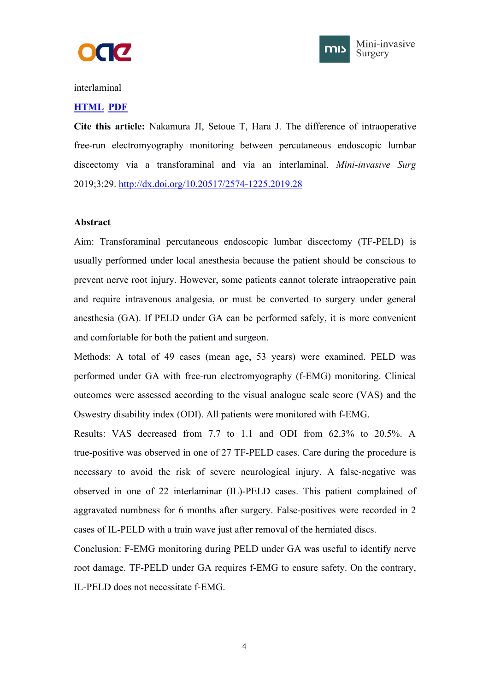



#### interlaminal

#### **[HTML](https://misjournal.net/article/view/3236) [PDF](https://oaepublishstorage.blob.core.windows.net/d48bfa19-4f98-4836-9023-3786148db542/3236.pdf)**

**Cite this article:** Nakamura JI, Setoue T, Hara J. The difference of intraoperative free-run electromyography monitoring between percutaneous endoscopic lumbar discectomy via a transforaminal and via an interlaminal. *Mini-invasive Surg* 2019;3:29. <http://dx.doi.org/10.20517/2574-1225.2019.28>

#### **Abstract**

Aim: Transforaminal percutaneous endoscopic lumbar discectomy (TF-PELD) is usually performed under local anesthesia because the patient should be conscious to prevent nerve root injury. However, some patients cannot tolerate intraoperative pain and require intravenous analgesia, or must be converted to surgery under general anesthesia (GA). If PELD under GA can be performed safely, it is more convenient and comfortable for both the patient and surgeon.

Methods: A total of 49 cases (mean age, 53 years) were examined. PELD was performed under GA with free-run electromyography (f-EMG) monitoring. Clinical outcomes were assessed according to the visual analogue scale score (VAS) and the Oswestry disability index (ODI). All patients were monitored with f-EMG.

Results: VAS decreased from 7.7 to 1.1 and ODI from 62.3% to 20.5%. A true-positive was observed in one of 27 TF-PELD cases. Care during the procedure is necessary to avoid the risk of severe neurological injury. A false-negative was observed in one of 22 interlaminar (IL)-PELD cases. This patient complained of aggravated numbness for 6 months after surgery. False-positives were recorded in 2 cases of IL-PELD with a train wave just after removal of the herniated discs.

Conclusion: F-EMG monitoring during PELD under GA was useful to identify nerve root damage. TF-PELD under GA requires f-EMG to ensure safety. On the contrary, IL-PELD does not necessitate f-EMG.